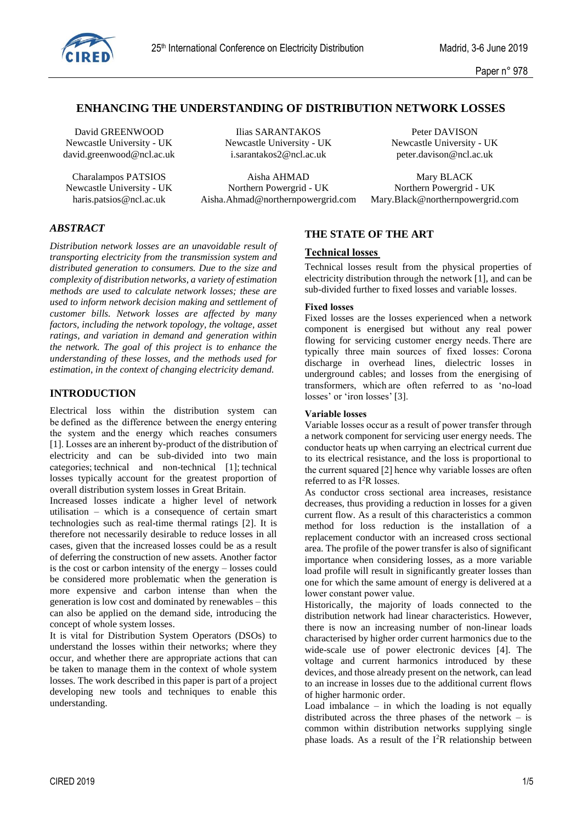

# **ENHANCING THE UNDERSTANDING OF DISTRIBUTION NETWORK LOSSES**

Newcastle University - UK Newcastle University - UK Newcastle University - UK david.greenwood@ncl.ac.uk i.sarantakos2@ncl.ac.uk peter.davison@ncl.ac.uk

David GREENWOOD Ilias SARANTAKOS Peter DAVISON

Charalampos PATSIOS Aisha AHMAD Mary BLACK<br>
Iniversity - UK<br>
Northern Powergrid - UK<br>
Northern Powergrid - UK<br>
Northern Powergrid - UK Newcastle University - UK Northern Powergrid - UK

haris.patsios@ncl.ac.uk Aisha.Ahmad@northernpowergrid.com Mary.Black@northernpowergrid.com

# *ABSTRACT*

*Distribution network losses are an unavoidable result of transporting electricity from the transmission system and distributed generation to consumers. Due to the size and complexity of distribution networks, a variety of estimation methods are used to calculate network losses; these are used to inform network decision making and settlement of customer bills. Network losses are affected by many factors, including the network topology, the voltage, asset ratings, and variation in demand and generation within the network. The goal of this project is to enhance the understanding of these losses, and the methods used for estimation, in the context of changing electricity demand.*

## **INTRODUCTION**

Electrical loss within the distribution system can be defined as the difference between the energy entering the system and the energy which reaches consumers [\[1\]](#page-4-0). Losses are an inherent by-product of the distribution of electricity and can be sub-divided into two main categories; technical and non-technical [\[1\]](#page-4-0); technical losses typically account for the greatest proportion of overall distribution system losses in Great Britain.  

Increased losses indicate a higher level of network utilisation – which is a consequence of certain smart technologies such as real-time thermal ratings [\[2\]](#page-4-1). It is therefore not necessarily desirable to reduce losses in all cases, given that the increased losses could be as a result of deferring the construction of new assets. Another factor is the cost or carbon intensity of the energy – losses could be considered more problematic when the generation is more expensive and carbon intense than when the generation is low cost and dominated by renewables – this can also be applied on the demand side, introducing the concept of whole system losses.

It is vital for Distribution System Operators (DSOs) to understand the losses within their networks; where they occur, and whether there are appropriate actions that can be taken to manage them in the context of whole system losses. The work described in this paper is part of a project developing new tools and techniques to enable this understanding.

# **THE STATE OF THE ART**

#### **Technical losses**

Technical losses result from the physical properties of electricity distribution through the network [\[1\]](#page-4-0), and can be sub-divided further to fixed losses and variable losses. 

#### **Fixed losses**

Fixed losses are the losses experienced when a network component is energised but without any real power flowing for servicing customer energy needs. There are typically three main sources of fixed losses:  Corona discharge in overhead lines, dielectric losses in underground cables; and losses from the energising of transformers, which are often referred to as 'no-load losses' or 'iron losses' [\[3\]](#page-4-2).  

#### **Variable losses**

Variable losses occur as a result of power transfer through a network component for servicing user energy needs. The conductor heats up when carrying an electrical current due to its electrical resistance, and the loss is proportional to the current squared [2] hence why variable losses are often referred to as I<sup>2</sup>R losses.  

As conductor cross sectional area increases, resistance decreases, thus providing a reduction in losses for a given current flow. As a result of this characteristics a common method for loss reduction is the installation of a replacement conductor with an increased cross sectional area. The profile of the power transfer is also of significant importance when considering losses, as a more variable load profile will result in significantly greater losses than one for which the same amount of energy is delivered at a lower constant power value.  

Historically, the majority of loads connected to the distribution network had linear characteristics. However, there is now an increasing number of non-linear loads characterised by higher order current harmonics due to the wide-scale use of power electronic devices [\[4\]](#page-4-3). The voltage and current harmonics introduced by these devices, and those already present on the network, can lead to an increase in losses due to the additional current flows of higher harmonic order.

Load imbalance  $-$  in which the loading is not equally distributed across the three phases of the network – is common within distribution networks supplying single phase loads. As a result of the  $I^2R$  relationship between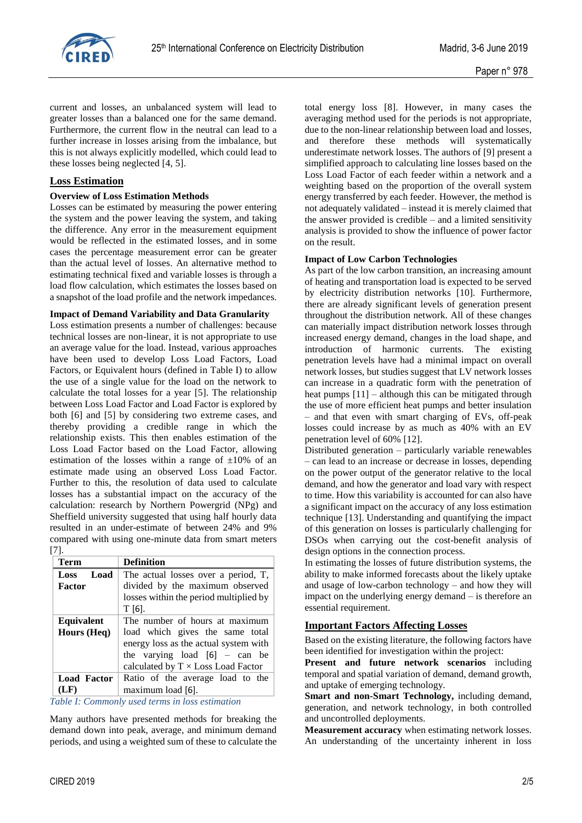

current and losses, an unbalanced system will lead to greater losses than a balanced one for the same demand. Furthermore, the current flow in the neutral can lead to a further increase in losses arising from the imbalance, but this is not always explicitly modelled, which could lead to these losses being neglected [4, 5].

## **Loss Estimation**

## **Overview of Loss Estimation Methods**

Losses can be estimated by measuring the power entering the system and the power leaving the system, and taking the difference. Any error in the measurement equipment would be reflected in the estimated losses, and in some cases the percentage measurement error can be greater than the actual level of losses. An alternative method to estimating technical fixed and variable losses is through a load flow calculation, which estimates the losses based on a snapshot of the load profile and the network impedances.

## **Impact of Demand Variability and Data Granularity**

Loss estimation presents a number of challenges: because technical losses are non-linear, it is not appropriate to use an average value for the load. Instead, various approaches have been used to develop Loss Load Factors, Load Factors, or Equivalent hours (defined in [Table I\)](#page-1-0) to allow the use of a single value for the load on the network to calculate the total losses for a year [\[5\]](#page-4-4). The relationship between Loss Load Factor and Load Factor is explored by both [\[6\]](#page-4-5) and [\[5\]](#page-4-4) by considering two extreme cases, and thereby providing a credible range in which the relationship exists. This then enables estimation of the Loss Load Factor based on the Load Factor, allowing estimation of the losses within a range of  $\pm 10\%$  of an estimate made using an observed Loss Load Factor. Further to this, the resolution of data used to calculate losses has a substantial impact on the accuracy of the calculation: research by Northern Powergrid (NPg) and Sheffield university suggested that using half hourly data resulted in an under-estimate of between 24% and 9% compared with using one-minute data from smart meters [\[7\]](#page-4-6).

| <b>Term</b>        | <b>Definition</b>                         |  |  |
|--------------------|-------------------------------------------|--|--|
| Load<br>Loss       | The actual losses over a period, T,       |  |  |
| Factor             | divided by the maximum observed           |  |  |
|                    | losses within the period multiplied by    |  |  |
|                    | $T[6]$ .                                  |  |  |
| <b>Equivalent</b>  | The number of hours at maximum            |  |  |
| Hours (Heq)        | load which gives the same total           |  |  |
|                    | energy loss as the actual system with     |  |  |
|                    | the varying load $[6]$ – can be           |  |  |
|                    | calculated by $T \times Loss$ Load Factor |  |  |
| <b>Load Factor</b> | Ratio of the average load to the          |  |  |
| (LF)               | maximum load [6].                         |  |  |

<span id="page-1-0"></span>*Table I: Commonly used terms in loss estimation*

Many authors have presented methods for breaking the demand down into peak, average, and minimum demand periods, and using a weighted sum of these to calculate the total energy loss [\[8\]](#page-4-7). However, in many cases the averaging method used for the periods is not appropriate, due to the non-linear relationship between load and losses, and therefore these methods will systematically underestimate network losses. The authors of [\[9\]](#page-4-8) present a simplified approach to calculating line losses based on the Loss Load Factor of each feeder within a network and a weighting based on the proportion of the overall system energy transferred by each feeder. However, the method is not adequately validated – instead it is merely claimed that the answer provided is credible – and a limited sensitivity analysis is provided to show the influence of power factor on the result.

#### **Impact of Low Carbon Technologies**

As part of the low carbon transition, an increasing amount of heating and transportation load is expected to be served by electricity distribution networks [\[10\]](#page-4-9). Furthermore, there are already significant levels of generation present throughout the distribution network. All of these changes can materially impact distribution network losses through increased energy demand, changes in the load shape, and introduction of harmonic currents. The existing penetration levels have had a minimal impact on overall network losses, but studies suggest that LV network losses can increase in a quadratic form with the penetration of heat pumps [\[11\]](#page-4-10) – although this can be mitigated through the use of more efficient heat pumps and better insulation – and that even with smart charging of EVs, off-peak losses could increase by as much as 40% with an EV penetration level of 60% [\[12\]](#page-4-11).

Distributed generation – particularly variable renewables – can lead to an increase or decrease in losses, depending on the power output of the generator relative to the local demand, and how the generator and load vary with respect to time. How this variability is accounted for can also have a significant impact on the accuracy of any loss estimation technique [\[13\]](#page-4-12). Understanding and quantifying the impact of this generation on losses is particularly challenging for DSOs when carrying out the cost-benefit analysis of design options in the connection process.

In estimating the losses of future distribution systems, the ability to make informed forecasts about the likely uptake and usage of low-carbon technology – and how they will impact on the underlying energy demand – is therefore an essential requirement.

# **Important Factors Affecting Losses**

Based on the existing literature, the following factors have been identified for investigation within the project:

**Present and future network scenarios** including temporal and spatial variation of demand, demand growth, and uptake of emerging technology.

**Smart and non-Smart Technology,** including demand, generation, and network technology, in both controlled and uncontrolled deployments.

**Measurement accuracy** when estimating network losses. An understanding of the uncertainty inherent in loss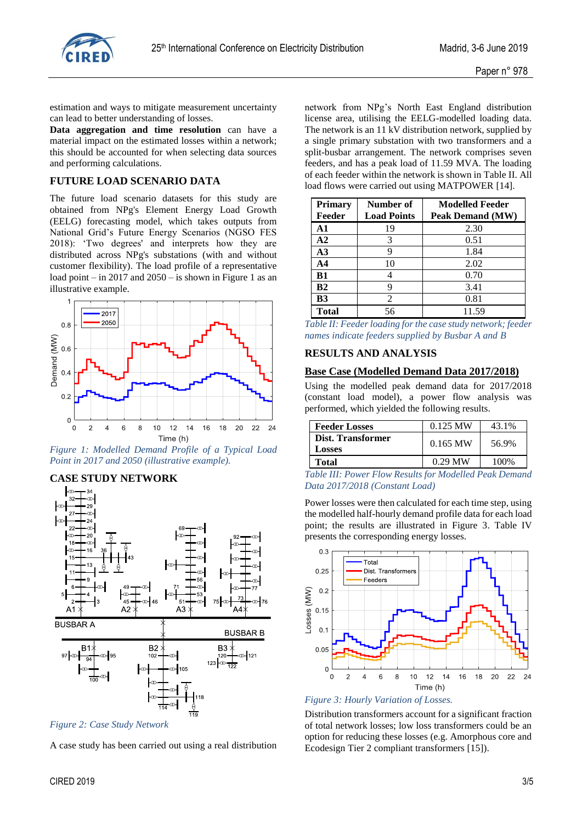

estimation and ways to mitigate measurement uncertainty can lead to better understanding of losses.

**Data aggregation and time resolution** can have a material impact on the estimated losses within a network; this should be accounted for when selecting data sources and performing calculations.

## **FUTURE LOAD SCENARIO DATA**

The future load scenario datasets for this study are obtained from NPg's Element Energy Load Growth (EELG) forecasting model, which takes outputs from National Grid's Future Energy Scenarios (NGSO FES 2018): 'Two degrees' and interprets how they are distributed across NPg's substations (with and without customer flexibility). The load profile of a representative load point – in 2017 and 2050 – is shown in Figure 1 as an illustrative example.



*Figure 1: Modelled Demand Profile of a Typical Load Point in 2017 and 2050 (illustrative example).*

## **CASE STUDY NETWORK**



*Figure 2: Case Study Network*

A case study has been carried out using a real distribution

network from NPg's North East England distribution license area, utilising the EELG-modelled loading data. The network is an 11 kV distribution network, supplied by a single primary substation with two transformers and a split-busbar arrangement. The network comprises seven feeders, and has a peak load of 11.59 MVA. The loading of each feeder within the network is shown in [Table II.](#page-2-0) All load flows were carried out using MATPOWER [\[14\]](#page-4-13).

| <b>Primary</b> | Number of          | <b>Modelled Feeder</b> |
|----------------|--------------------|------------------------|
| Feeder         | <b>Load Points</b> | Peak Demand (MW)       |
| A1             | 19                 | 2.30                   |
| $\mathbf{A2}$  | 3                  | 0.51                   |
| A3             |                    | 1.84                   |
| A4             | 10                 | 2.02                   |
| B1             |                    | 0.70                   |
| <b>B2</b>      |                    | 3.41                   |
| <b>B3</b>      | 2                  | 0.81                   |
| Total          | 56                 | 11.59                  |

<span id="page-2-0"></span>

| Table II: Feeder loading for the case study network; feeder |  |
|-------------------------------------------------------------|--|
| names indicate feeders supplied by Busbar A and B           |  |

### **RESULTS AND ANALYSIS**

#### **Base Case (Modelled Demand Data 2017/2018)**

Using the modelled peak demand data for 2017/2018 (constant load model), a power flow analysis was performed, which yielded the following results.

| <b>Feeder Losses</b>        | $0.125$ MW | 43.1% |
|-----------------------------|------------|-------|
| Dist. Transformer<br>Losses | $0.165$ MW | 56.9% |
| Total                       | $0.29$ MW  | 100%  |

*Table III: Power Flow Results for Modelled Peak Demand Data 2017/2018 (Constant Load)*

Power losses were then calculated for each time step, using the modelled half-hourly demand profile data for each load point; the results are illustrated in Figure 3. [Table IV](#page-3-0) presents the corresponding energy losses.





Distribution transformers account for a significant fraction of total network losses; low loss transformers could be an option for reducing these losses (e.g. Amorphous core and Ecodesign Tier 2 compliant transformers [\[15\]](#page-4-14)).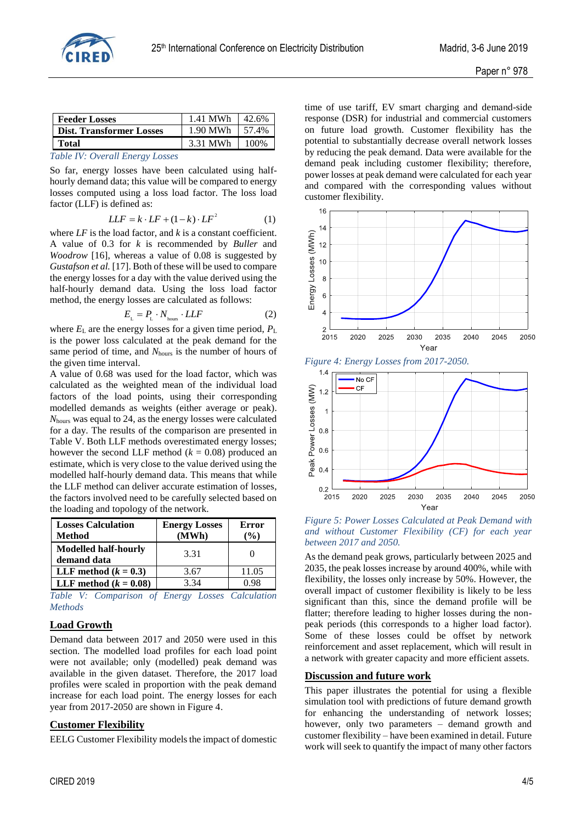

| <b>Feeder Losses</b>            | 1.41 MWh |            |
|---------------------------------|----------|------------|
| <b>Dist. Transformer Losses</b> | 1.90 MWh | $1,57.4\%$ |
| Total                           | 3.31 MWh |            |
|                                 |          |            |

#### <span id="page-3-0"></span>*Table IV: Overall Energy Losses*

So far, energy losses have been calculated using halfhourly demand data; this value will be compared to energy losses computed using a loss load factor. The loss load factor (LLF) is defined as:

$$
LLF = k \cdot LF + (1 - k) \cdot LF^2 \tag{1}
$$

where *LF* is the load factor, and *k* is a constant coefficient. A value of 0.3 for *k* is recommended by *Buller* and *Woodrow* [\[16\]](#page-4-15), whereas a value of 0.08 is suggested by *Gustafson et al.* [\[17\]](#page-4-16). Both of these will be used to compare the energy losses for a day with the value derived using the half-hourly demand data. Using the loss load factor method, the energy losses are calculated as follows:

$$
E_{\rm L} = P_{\rm L} \cdot N_{\rm hours} \cdot LLF \tag{2}
$$

where  $E_{\text{L}}$  are the energy losses for a given time period,  $P_{\text{L}}$ is the power loss calculated at the peak demand for the same period of time, and *N*hours is the number of hours of the given time interval.

A value of 0.68 was used for the load factor, which was calculated as the weighted mean of the individual load factors of the load points, using their corresponding modelled demands as weights (either average or peak). *N*hours was equal to 24, as the energy losses were calculated for a day. The results of the comparison are presented in [Table V.](#page-3-1) Both LLF methods overestimated energy losses; however the second LLF method  $(k = 0.08)$  produced an estimate, which is very close to the value derived using the modelled half-hourly demand data. This means that while the LLF method can deliver accurate estimation of losses, the factors involved need to be carefully selected based on the loading and topology of the network.

| <b>Losses Calculation</b><br><b>Method</b> | <b>Energy Losses</b><br>(MWh) | Error<br>$\%$ |
|--------------------------------------------|-------------------------------|---------------|
| <b>Modelled half-hourly</b><br>demand data | 3.31                          |               |
| LLF method $(k = 0.3)$                     | 3.67                          | 11.05         |
| LLF method $(k = 0.08)$                    | 3.34                          | N 98          |

<span id="page-3-1"></span>*Table V: Comparison of Energy Losses Calculation Methods*

## **Load Growth**

Demand data between 2017 and 2050 were used in this section. The modelled load profiles for each load point were not available; only (modelled) peak demand was available in the given dataset. Therefore, the 2017 load profiles were scaled in proportion with the peak demand increase for each load point. The energy losses for each year from 2017-2050 are shown in Figure 4.

## **Customer Flexibility**

EELG Customer Flexibility models the impact of domestic

time of use tariff, EV smart charging and demand-side response (DSR) for industrial and commercial customers on future load growth. Customer flexibility has the potential to substantially decrease overall network losses by reducing the peak demand. Data were available for the demand peak including customer flexibility; therefore, power losses at peak demand were calculated for each year and compared with the corresponding values without customer flexibility.



*Figure 4: Energy Losses from 2017-2050.*



*Figure 5: Power Losses Calculated at Peak Demand with and without Customer Flexibility (CF) for each year between 2017 and 2050.*

As the demand peak grows, particularly between 2025 and 2035, the peak losses increase by around 400%, while with flexibility, the losses only increase by 50%. However, the overall impact of customer flexibility is likely to be less significant than this, since the demand profile will be flatter; therefore leading to higher losses during the nonpeak periods (this corresponds to a higher load factor). Some of these losses could be offset by network reinforcement and asset replacement, which will result in a network with greater capacity and more efficient assets.

## **Discussion and future work**

This paper illustrates the potential for using a flexible simulation tool with predictions of future demand growth for enhancing the understanding of network losses; however, only two parameters – demand growth and customer flexibility – have been examined in detail. Future work will seek to quantify the impact of many other factors